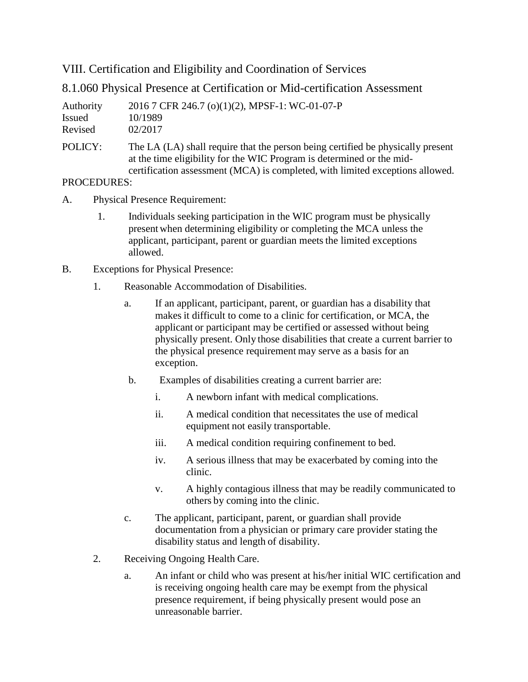VIII. Certification and Eligibility and Coordination of Services

8.1.060 Physical Presence at Certification or Mid-certification Assessment

| Authority | 2016 7 CFR 246.7 (o)(1)(2), MPSF-1: WC-01-07-P                                                                                                                                                                                            |
|-----------|-------------------------------------------------------------------------------------------------------------------------------------------------------------------------------------------------------------------------------------------|
| Issued    | 10/1989                                                                                                                                                                                                                                   |
| Revised   | 02/2017                                                                                                                                                                                                                                   |
| POLICY:   | The LA (LA) shall require that the person being certified be physically present<br>at the time eligibility for the WIC Program is determined or the mid-<br>certification assessment (MCA) is completed, with limited exceptions allowed. |

## PROCEDURES:

- A. Physical Presence Requirement:
	- 1. Individuals seeking participation in the WIC program must be physically present when determining eligibility or completing the MCA unless the applicant, participant, parent or guardian meets the limited exceptions allowed.
- B. Exceptions for Physical Presence:
	- 1. Reasonable Accommodation of Disabilities.
		- a. If an applicant, participant, parent, or guardian has a disability that makes it difficult to come to a clinic for certification, or MCA, the applicant or participant may be certified or assessed without being physically present. Only those disabilities that create a current barrier to the physical presence requirement may serve as a basis for an exception.
		- b. Examples of disabilities creating a current barrier are:
			- i. A newborn infant with medical complications.
			- ii. A medical condition that necessitates the use of medical equipment not easily transportable.
			- iii. A medical condition requiring confinement to bed.
			- iv. A serious illness that may be exacerbated by coming into the clinic.
			- v. A highly contagious illness that may be readily communicated to others by coming into the clinic.
		- c. The applicant, participant, parent, or guardian shall provide documentation from a physician or primary care provider stating the disability status and length of disability.
	- 2. Receiving Ongoing Health Care.
		- a. An infant or child who was present at his/her initial WIC certification and is receiving ongoing health care may be exempt from the physical presence requirement, if being physically present would pose an unreasonable barrier.